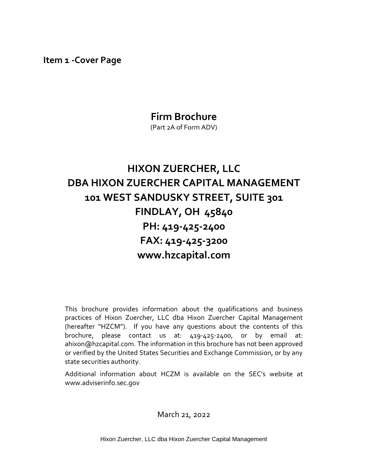<span id="page-0-0"></span>**Item 1 -Cover Page**

# **Firm Brochure**

(Part 2A of Form ADV)

# **HIXON ZUERCHER, LLC DBA HIXON ZUERCHER CAPITAL MANAGEMENT 101 WEST SANDUSKY STREET, SUITE 301 FINDLAY, OH 45840 PH: 419-425-2400 FAX: 419-425-3200 www.hzcapital.com**

This brochure provides information about the qualifications and business practices of Hixon Zuercher, LLC dba Hixon Zuercher Capital Management (hereafter "HZCM"). If you have any questions about the contents of this brochure, please contact us at: 419-425-2400, or by email at: ahixon@hzcapital.com. The information in this brochure has not been approved or verified by the United States Securities and Exchange Commission, or by any state securities authority.

Additional information about HCZM is available on the SEC's website at www.adviserinfo.sec.gov

March 21, 2022

Hixon Zuercher, LLC dba Hixon Zuercher Capital Management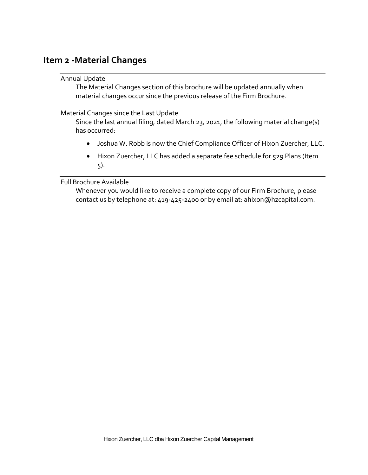## <span id="page-1-1"></span><span id="page-1-0"></span>**Item 2 -Material Changes**

#### Annual Update

The Material Changes section of this brochure will be updated annually when material changes occur since the previous release of the Firm Brochure.

#### <span id="page-1-2"></span>Material Changes since the Last Update

Since the last annual filing, dated March 23, 2021, the following material change(s) has occurred:

- Joshua W. Robb is now the Chief Compliance Officer of Hixon Zuercher, LLC.
- Hixon Zuercher, LLC has added a separate fee schedule for 529 Plans (Item 5).

#### <span id="page-1-3"></span>Full Brochure Available

Whenever you would like to receive a complete copy of our Firm Brochure, please contact us by telephone at: 419-425-2400 or by email at: ahixon@hzcapital.com.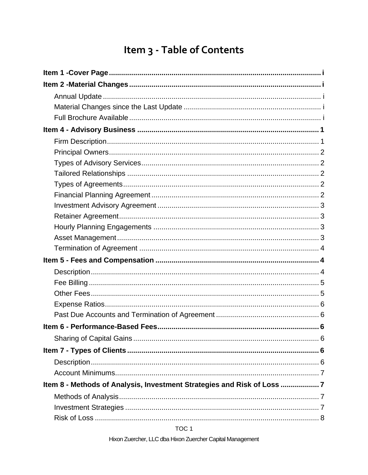# Item 3 - Table of Contents

| Item 8 - Methods of Analysis, Investment Strategies and Risk of Loss 7 |  |
|------------------------------------------------------------------------|--|
|                                                                        |  |
|                                                                        |  |
|                                                                        |  |

TOC<sub>1</sub>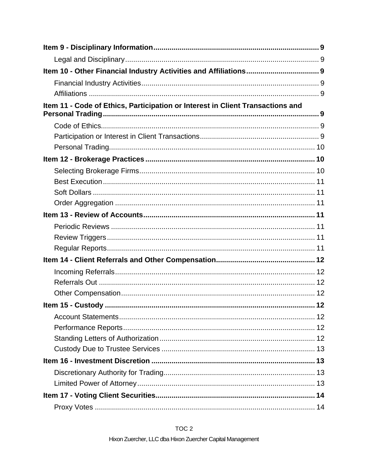| Item 11 - Code of Ethics, Participation or Interest in Client Transactions and |  |
|--------------------------------------------------------------------------------|--|
|                                                                                |  |
|                                                                                |  |
|                                                                                |  |
|                                                                                |  |
|                                                                                |  |
|                                                                                |  |
|                                                                                |  |
|                                                                                |  |
|                                                                                |  |
|                                                                                |  |
|                                                                                |  |
|                                                                                |  |
|                                                                                |  |
|                                                                                |  |
|                                                                                |  |
|                                                                                |  |
|                                                                                |  |
|                                                                                |  |
|                                                                                |  |
|                                                                                |  |
|                                                                                |  |
|                                                                                |  |
|                                                                                |  |
|                                                                                |  |
|                                                                                |  |
|                                                                                |  |

### TOC<sub>2</sub>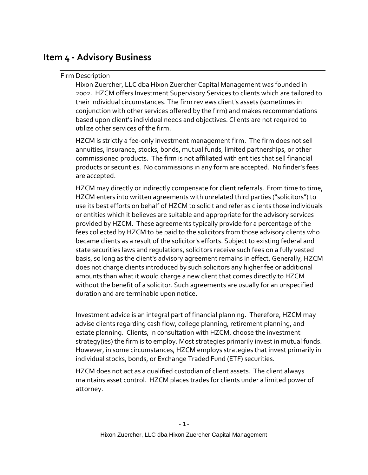# <span id="page-5-1"></span><span id="page-5-0"></span>**Item 4 - Advisory Business**

#### Firm Description

Hixon Zuercher, LLC dba Hixon Zuercher Capital Management was founded in 2002. HZCM offers Investment Supervisory Services to clients which are tailored to their individual circumstances. The firm reviews client's assets (sometimes in conjunction with other services offered by the firm) and makes recommendations based upon client's individual needs and objectives. Clients are not required to utilize other services of the firm.

HZCM is strictly a fee-only investment management firm. The firm does not sell annuities, insurance, stocks, bonds, mutual funds, limited partnerships, or other commissioned products. The firm is not affiliated with entities that sell financial products or securities. No commissions in any form are accepted. No finder's fees are accepted.

HZCM may directly or indirectly compensate for client referrals. From time to time, HZCM enters into written agreements with unrelated third parties ("solicitors") to use its best efforts on behalf of HZCM to solicit and refer as clients those individuals or entities which it believes are suitable and appropriate for the advisory services provided by HZCM. These agreements typically provide for a percentage of the fees collected by HZCM to be paid to the solicitors from those advisory clients who became clients as a result of the solicitor's efforts. Subject to existing federal and state securities laws and regulations, solicitors receive such fees on a fully vested basis, so long as the client's advisory agreement remains in effect. Generally, HZCM does not charge clients introduced by such solicitors any higher fee or additional amounts than what it would charge a new client that comes directly to HZCM without the benefit of a solicitor. Such agreements are usually for an unspecified duration and are terminable upon notice.

Investment advice is an integral part of financial planning. Therefore, HZCM may advise clients regarding cash flow, college planning, retirement planning, and estate planning. Clients, in consultation with HZCM, choose the investment strategy(ies) the firm is to employ. Most strategies primarily invest in mutual funds. However, in some circumstances, HZCM employs strategies that invest primarily in individual stocks, bonds, or Exchange Traded Fund (ETF) securities.

HZCM does not act as a qualified custodian of client assets. The client always maintains asset control. HZCM places trades for clients under a limited power of attorney.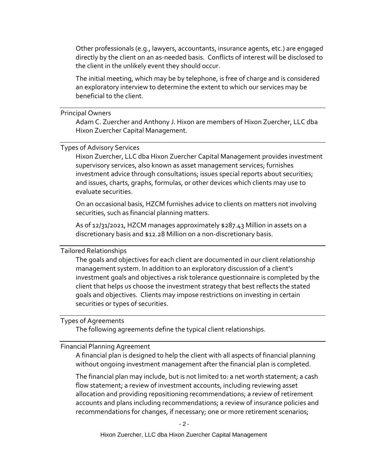Other professionals (e.g., lawyers, accountants, insurance agents, etc.) are engaged directly by the client on an as-needed basis. Conflicts of interest will be disclosed to the client in the unlikely event they should occur.

The initial meeting, which may be by telephone, is free of charge and is considered an exploratory interview to determine the extent to which our services may be beneficial to the client.

#### <span id="page-6-0"></span>Principal Owners

Adam C. Zuercher and Anthony J. Hixon are members of Hixon Zuercher, LLC dba Hixon Zuercher Capital Management.

#### <span id="page-6-1"></span>Types of Advisory Services

Hixon Zuercher, LLC dba Hixon Zuercher Capital Management provides investment supervisory services, also known as asset management services; furnishes investment advice through consultations; issues special reports about securities; and issues, charts, graphs, formulas, or other devices which clients may use to evaluate securities.

On an occasional basis, HZCM furnishes advice to clients on matters not involving securities, such as financial planning matters.

As of 12/31/2021, HZCM manages approximately \$287.43 Million in assets on a discretionary basis and \$12.28 Million on a non-discretionary basis.

#### <span id="page-6-2"></span>Tailored Relationships

The goals and objectives for each client are documented in our client relationship management system. In addition to an exploratory discussion of a client's investment goals and objectives a risk tolerance questionnaire is completed by the client that helps us choose the investment strategy that best reflects the stated goals and objectives. Clients may impose restrictions on investing in certain securities or types of securities.

#### <span id="page-6-3"></span>Types of Agreements

The following agreements define the typical client relationships.

#### <span id="page-6-4"></span>Financial Planning Agreement

A financial plan is designed to help the client with all aspects of financial planning without ongoing investment management after the financial plan is completed.

The financial plan may include, but is not limited to: a net worth statement; a cash flow statement; a review of investment accounts, including reviewing asset allocation and providing repositioning recommendations; a review of retirement accounts and plans including recommendations; a review of insurance policies and recommendations for changes, if necessary; one or more retirement scenarios;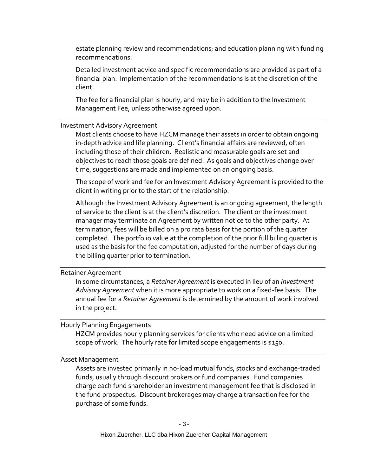estate planning review and recommendations; and education planning with funding recommendations.

Detailed investment advice and specific recommendations are provided as part of a financial plan. Implementation of the recommendations is at the discretion of the client.

The fee for a financial plan is hourly, and may be in addition to the Investment Management Fee, unless otherwise agreed upon.

<span id="page-7-0"></span>Investment Advisory Agreement

Most clients choose to have HZCM manage their assets in order to obtain ongoing in-depth advice and life planning. Client's financial affairs are reviewed, often including those of their children. Realistic and measurable goals are set and objectives to reach those goals are defined. As goals and objectives change over time, suggestions are made and implemented on an ongoing basis.

The scope of work and fee for an Investment Advisory Agreement is provided to the client in writing prior to the start of the relationship.

Although the Investment Advisory Agreement is an ongoing agreement, the length of service to the client is at the client's discretion. The client or the investment manager may terminate an Agreement by written notice to the other party. At termination, fees will be billed on a pro rata basis for the portion of the quarter completed. The portfolio value at the completion of the prior full billing quarter is used as the basis for the fee computation, adjusted for the number of days during the billing quarter prior to termination.

<span id="page-7-1"></span>Retainer Agreement

In some circumstances, a *Retainer Agreement* is executed in lieu of an *Investment Advisory Agreement* when it is more appropriate to work on a fixed-fee basis. The annual fee for a *Retainer Agreement* is determined by the amount of work involved in the project*.*

<span id="page-7-2"></span>Hourly Planning Engagements

HZCM provides hourly planning services for clients who need advice on a limited scope of work. The hourly rate for limited scope engagements is \$150.

<span id="page-7-3"></span>Asset Management

Assets are invested primarily in no-load mutual funds, stocks and exchange-traded funds, usually through discount brokers or fund companies. Fund companies charge each fund shareholder an investment management fee that is disclosed in the fund prospectus. Discount brokerages may charge a transaction fee for the purchase of some funds.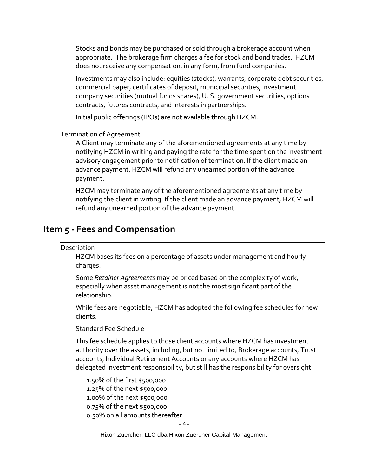Stocks and bonds may be purchased or sold through a brokerage account when appropriate. The brokerage firm charges a fee for stock and bond trades. HZCM does not receive any compensation, in any form, from fund companies.

Investments may also include: equities (stocks), warrants, corporate debt securities, commercial paper, certificates of deposit, municipal securities, investment company securities (mutual funds shares), U. S. government securities, options contracts, futures contracts, and interests in partnerships.

Initial public offerings (IPOs) are not available through HZCM.

#### <span id="page-8-0"></span>Termination of Agreement

A Client may terminate any of the aforementioned agreements at any time by notifying HZCM in writing and paying the rate for the time spent on the investment advisory engagement prior to notification of termination. If the client made an advance payment, HZCM will refund any unearned portion of the advance payment.

HZCM may terminate any of the aforementioned agreements at any time by notifying the client in writing. If the client made an advance payment, HZCM will refund any unearned portion of the advance payment.

### <span id="page-8-2"></span><span id="page-8-1"></span>**Item 5 - Fees and Compensation**

#### Description

HZCM bases its fees on a percentage of assets under management and hourly charges.

Some *Retainer Agreements* may be priced based on the complexity of work, especially when asset management is not the most significant part of the relationship.

While fees are negotiable, HZCM has adopted the following fee schedules for new clients.

#### Standard Fee Schedule

This fee schedule applies to those client accounts where HZCM has investment authority over the assets, including, but not limited to, Brokerage accounts, Trust accounts, Individual Retirement Accounts or any accounts where HZCM has delegated investment responsibility, but still has the responsibility for oversight.

1.50% of the first \$500,000 1.25% of the next \$500,000 1.00% of the next \$500,000 0.75% of the next \$500,000 0.50% on all amounts thereafter

- 4 -

Hixon Zuercher, LLC dba Hixon Zuercher Capital Management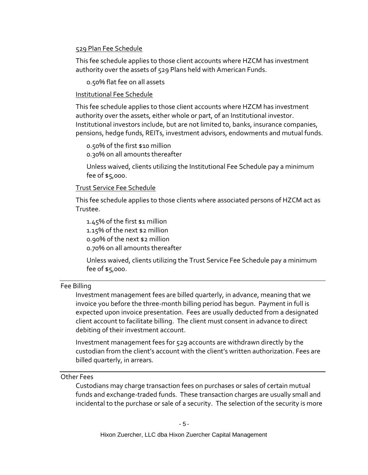#### 529 Plan Fee Schedule

This fee schedule applies to those client accounts where HZCM has investment authority over the assets of 529 Plans held with American Funds.

0.50% flat fee on all assets

#### Institutional Fee Schedule

This fee schedule applies to those client accounts where HZCM has investment authority over the assets, either whole or part, of an Institutional investor. Institutional investors include, but are not limited to, banks, insurance companies, pensions, hedge funds, REITs, investment advisors, endowments and mutual funds.

0.50% of the first \$10 million

0.30% on all amounts thereafter

Unless waived, clients utilizing the Institutional Fee Schedule pay a minimum fee of \$5,000.

#### Trust Service Fee Schedule

This fee schedule applies to those clients where associated persons of HZCM act as Trustee.

1.45% of the first \$1 million 1.15% of the next \$2 million 0.90% of the next \$2 million 0.70% on all amounts thereafter

Unless waived, clients utilizing the Trust Service Fee Schedule pay a minimum fee of \$5,000.

#### <span id="page-9-0"></span>Fee Billing

Investment management fees are billed quarterly, in advance, meaning that we invoice you before the three-month billing period has begun. Payment in full is expected upon invoice presentation. Fees are usually deducted from a designated client account to facilitate billing. The client must consent in advance to direct debiting of their investment account.

Investment management fees for 529 accounts are withdrawn directly by the custodian from the client's account with the client's written authorization. Fees are billed quarterly, in arrears.

#### <span id="page-9-1"></span>Other Fees

Custodians may charge transaction fees on purchases or sales of certain mutual funds and exchange-traded funds. These transaction charges are usually small and incidental to the purchase or sale of a security. The selection of the security is more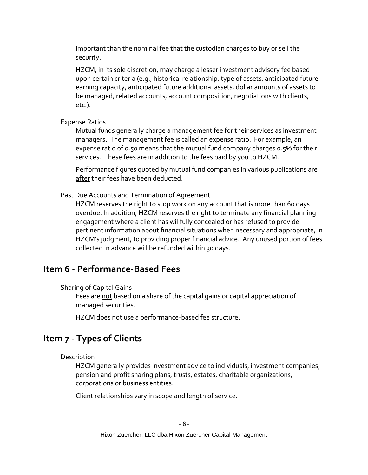important than the nominal fee that the custodian charges to buy or sell the security.

HZCM, in its sole discretion, may charge a lesser investment advisory fee based upon certain criteria (e.g., historical relationship, type of assets, anticipated future earning capacity, anticipated future additional assets, dollar amounts of assets to be managed, related accounts, account composition, negotiations with clients, etc.).

<span id="page-10-0"></span>Expense Ratios

Mutual funds generally charge a management fee for their services as investment managers. The management fee is called an expense ratio. For example, an expense ratio of 0.50 means that the mutual fund company charges 0.5% for their services. These fees are in addition to the fees paid by you to HZCM.

Performance figures quoted by mutual fund companies in various publications are after their fees have been deducted.

<span id="page-10-1"></span>Past Due Accounts and Termination of Agreement

HZCM reserves the right to stop work on any account that is more than 60 days overdue. In addition, HZCM reserves the right to terminate any financial planning engagement where a client has willfully concealed or has refused to provide pertinent information about financial situations when necessary and appropriate, in HZCM's judgment, to providing proper financial advice. Any unused portion of fees collected in advance will be refunded within 30 days.

### <span id="page-10-3"></span><span id="page-10-2"></span>**Item 6 - Performance-Based Fees**

Sharing of Capital Gains

Fees are not based on a share of the capital gains or capital appreciation of managed securities.

HZCM does not use a performance-based fee structure.

# <span id="page-10-5"></span><span id="page-10-4"></span>**Item 7 - Types of Clients**

Description

HZCM generally provides investment advice to individuals, investment companies, pension and profit sharing plans, trusts, estates, charitable organizations, corporations or business entities.

Client relationships vary in scope and length of service.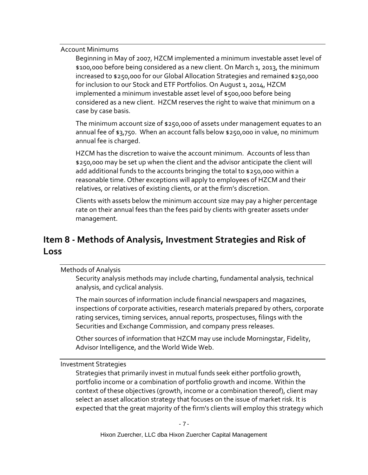<span id="page-11-0"></span>Account Minimums

Beginning in May of 2007, HZCM implemented a minimum investable asset level of \$100,000 before being considered as a new client. On March 1, 2013, the minimum increased to \$250,000 for our Global Allocation Strategies and remained \$250,000 for inclusion to our Stock and ETF Portfolios. On August 1, 2014, HZCM implemented a minimum investable asset level of \$500,000 before being considered as a new client. HZCM reserves the right to waive that minimum on a case by case basis.

The minimum account size of \$250,000 of assets under management equates to an annual fee of \$3,750. When an account falls below \$250,000 in value, no minimum annual fee is charged.

HZCM has the discretion to waive the account minimum. Accounts of less than \$250,000 may be set up when the client and the advisor anticipate the client will add additional funds to the accounts bringing the total to \$250,000 within a reasonable time. Other exceptions will apply to employees of HZCM and their relatives, or relatives of existing clients, or at the firm's discretion.

Clients with assets below the minimum account size may pay a higher percentage rate on their annual fees than the fees paid by clients with greater assets under management.

# <span id="page-11-1"></span>**Item 8 - Methods of Analysis, Investment Strategies and Risk of Loss**

<span id="page-11-2"></span>Methods of Analysis

Security analysis methods may include charting, fundamental analysis, technical analysis, and cyclical analysis.

The main sources of information include financial newspapers and magazines, inspections of corporate activities, research materials prepared by others, corporate rating services, timing services, annual reports, prospectuses, filings with the Securities and Exchange Commission, and company press releases.

Other sources of information that HZCM may use include Morningstar, Fidelity, Advisor Intelligence, and the World Wide Web.

<span id="page-11-3"></span>Investment Strategies

Strategies that primarily invest in mutual funds seek either portfolio growth, portfolio income or a combination of portfolio growth and income. Within the context of these objectives (growth, income or a combination thereof), client may select an asset allocation strategy that focuses on the issue of market risk. It is expected that the great majority of the firm's clients will employ this strategy which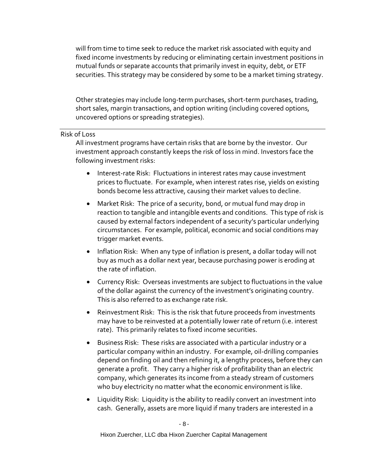will from time to time seek to reduce the market risk associated with equity and fixed income investments by reducing or eliminating certain investment positions in mutual funds or separate accounts that primarily invest in equity, debt, or ETF securities. This strategy may be considered by some to be a market timing strategy.

Other strategies may include long-term purchases, short-term purchases, trading, short sales, margin transactions, and option writing (including covered options, uncovered options or spreading strategies).

#### <span id="page-12-0"></span>Risk of Loss

All investment programs have certain risks that are borne by the investor. Our investment approach constantly keeps the risk of loss in mind. Investors face the following investment risks:

- Interest-rate Risk: Fluctuations in interest rates may cause investment prices to fluctuate. For example, when interest rates rise, yields on existing bonds become less attractive, causing their market values to decline.
- Market Risk: The price of a security, bond, or mutual fund may drop in reaction to tangible and intangible events and conditions. This type of risk is caused by external factors independent of a security's particular underlying circumstances. For example, political, economic and social conditions may trigger market events.
- Inflation Risk: When any type of inflation is present, a dollar today will not buy as much as a dollar next year, because purchasing power is eroding at the rate of inflation.
- Currency Risk: Overseas investments are subject to fluctuations in the value of the dollar against the currency of the investment's originating country. This is also referred to as exchange rate risk.
- Reinvestment Risk: This is the risk that future proceeds from investments may have to be reinvested at a potentially lower rate of return (i.e. interest rate). This primarily relates to fixed income securities.
- Business Risk: These risks are associated with a particular industry or a particular company within an industry. For example, oil-drilling companies depend on finding oil and then refining it, a lengthy process, before they can generate a profit. They carry a higher risk of profitability than an electric company, which generates its income from a steady stream of customers who buy electricity no matter what the economic environment is like.
- Liquidity Risk: Liquidity is the ability to readily convert an investment into cash. Generally, assets are more liquid if many traders are interested in a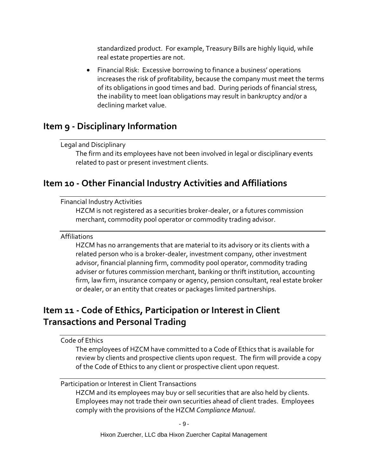standardized product. For example, Treasury Bills are highly liquid, while real estate properties are not.

• Financial Risk: Excessive borrowing to finance a business' operations increases the risk of profitability, because the company must meet the terms of its obligations in good times and bad. During periods of financial stress, the inability to meet loan obligations may result in bankruptcy and/or a declining market value.

### <span id="page-13-1"></span><span id="page-13-0"></span>**Item 9 - Disciplinary Information**

#### Legal and Disciplinary

The firm and its employees have not been involved in legal or disciplinary events related to past or present investment clients.

## <span id="page-13-3"></span><span id="page-13-2"></span>**Item 10 - Other Financial Industry Activities and Affiliations**

#### Financial Industry Activities

HZCM is not registered as a securities broker-dealer, or a futures commission merchant, commodity pool operator or commodity trading advisor.

#### <span id="page-13-4"></span>Affiliations

HZCM has no arrangements that are material to its advisory or its clients with a related person who is a broker-dealer, investment company, other investment advisor, financial planning firm, commodity pool operator, commodity trading adviser or futures commission merchant, banking or thrift institution, accounting firm, law firm, insurance company or agency, pension consultant, real estate broker or dealer, or an entity that creates or packages limited partnerships.

# <span id="page-13-5"></span>**Item 11 - Code of Ethics, Participation or Interest in Client Transactions and Personal Trading**

#### <span id="page-13-6"></span>Code of Ethics

The employees of HZCM have committed to a Code of Ethics that is available for review by clients and prospective clients upon request. The firm will provide a copy of the Code of Ethics to any client or prospective client upon request.

#### <span id="page-13-7"></span>Participation or Interest in Client Transactions

HZCM and its employees may buy or sell securities that are also held by clients. Employees may not trade their own securities ahead of client trades. Employees comply with the provisions of the HZCM *Compliance Manual*.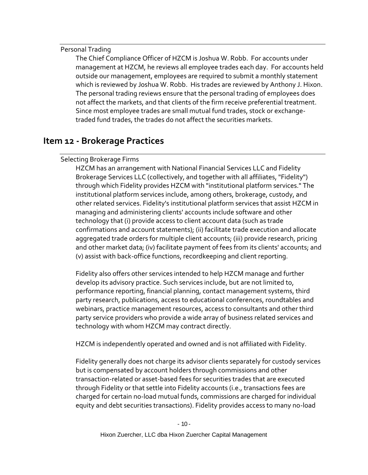#### <span id="page-14-0"></span>Personal Trading

The Chief Compliance Officer of HZCM is Joshua W. Robb. For accounts under management at HZCM, he reviews all employee trades each day. For accounts held outside our management, employees are required to submit a monthly statement which is reviewed by Joshua W. Robb. His trades are reviewed by Anthony J. Hixon. The personal trading reviews ensure that the personal trading of employees does not affect the markets, and that clients of the firm receive preferential treatment. Since most employee trades are small mutual fund trades, stock or exchangetraded fund trades, the trades do not affect the securities markets.

## <span id="page-14-2"></span><span id="page-14-1"></span>**Item 12 - Brokerage Practices**

#### Selecting Brokerage Firms

HZCM has an arrangement with National Financial Services LLC and Fidelity Brokerage Services LLC (collectively, and together with all affiliates, "Fidelity") through which Fidelity provides HZCM with "institutional platform services." The institutional platform services include, among others, brokerage, custody, and other related services. Fidelity's institutional platform services that assist HZCM in managing and administering clients' accounts include software and other technology that (i) provide access to client account data (such as trade confirmations and account statements); (ii) facilitate trade execution and allocate aggregated trade orders for multiple client accounts; (iii) provide research, pricing and other market data; (iv) facilitate payment of fees from its clients' accounts; and (v) assist with back-office functions, recordkeeping and client reporting.

Fidelity also offers other services intended to help HZCM manage and further develop its advisory practice. Such services include, but are not limited to, performance reporting, financial planning, contact management systems, third party research, publications, access to educational conferences, roundtables and webinars, practice management resources, access to consultants and other third party service providers who provide a wide array of business related services and technology with whom HZCM may contract directly.

HZCM is independently operated and owned and is not affiliated with Fidelity.

Fidelity generally does not charge its advisor clients separately for custody services but is compensated by account holders through commissions and other transaction-related or asset-based fees for securities trades that are executed through Fidelity or that settle into Fidelity accounts (i.e., transactions fees are charged for certain no-load mutual funds, commissions are charged for individual equity and debt securities transactions). Fidelity provides access to many no-load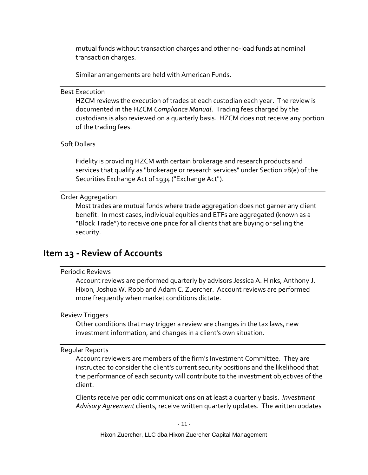mutual funds without transaction charges and other no-load funds at nominal transaction charges.

Similar arrangements are held with American Funds.

#### <span id="page-15-0"></span>Best Execution

HZCM reviews the execution of trades at each custodian each year. The review is documented in the HZCM *Compliance Manual*. Trading fees charged by the custodians is also reviewed on a quarterly basis. HZCM does not receive any portion of the trading fees.

#### <span id="page-15-1"></span>Soft Dollars

Fidelity is providing HZCM with certain brokerage and research products and services that qualify as "brokerage or research services" under Section 28(e) of the Securities Exchange Act of 1934 ("Exchange Act").

#### <span id="page-15-2"></span>Order Aggregation

Most trades are mutual funds where trade aggregation does not garner any client benefit. In most cases, individual equities and ETFs are aggregated (known as a "Block Trade") to receive one price for all clients that are buying or selling the security.

### <span id="page-15-4"></span><span id="page-15-3"></span>**Item 13 - Review of Accounts**

#### Periodic Reviews

Account reviews are performed quarterly by advisors Jessica A. Hinks, Anthony J. Hixon, Joshua W. Robb and Adam C. Zuercher. Account reviews are performed more frequently when market conditions dictate.

#### <span id="page-15-5"></span>Review Triggers

Other conditions that may trigger a review are changes in the tax laws, new investment information, and changes in a client's own situation.

#### <span id="page-15-6"></span>Regular Reports

Account reviewers are members of the firm's Investment Committee. They are instructed to consider the client's current security positions and the likelihood that the performance of each security will contribute to the investment objectives of the client.

Clients receive periodic communications on at least a quarterly basis. *Investment Advisory Agreement* clients, receive written quarterly updates. The written updates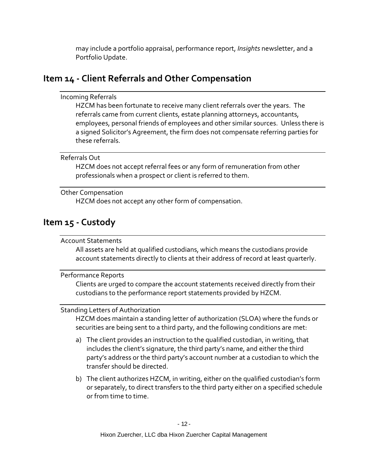may include a portfolio appraisal, performance report, *Insights* newsletter, and a Portfolio Update.

# <span id="page-16-1"></span><span id="page-16-0"></span>**Item 14 - Client Referrals and Other Compensation**

#### Incoming Referrals

HZCM has been fortunate to receive many client referrals over the years. The referrals came from current clients, estate planning attorneys, accountants, employees, personal friends of employees and other similar sources. Unless there is a signed Solicitor's Agreement, the firm does not compensate referring parties for these referrals.

#### <span id="page-16-2"></span>Referrals Out

HZCM does not accept referral fees or any form of remuneration from other professionals when a prospect or client is referred to them.

#### <span id="page-16-3"></span>Other Compensation

HZCM does not accept any other form of compensation.

# <span id="page-16-5"></span><span id="page-16-4"></span>**Item 15 - Custody**

#### Account Statements

All assets are held at qualified custodians, which means the custodians provide account statements directly to clients at their address of record at least quarterly.

#### <span id="page-16-6"></span>Performance Reports

Clients are urged to compare the account statements received directly from their custodians to the performance report statements provided by HZCM.

### <span id="page-16-7"></span>Standing Letters of Authorization

HZCM does maintain a standing letter of authorization (SLOA) where the funds or securities are being sent to a third party, and the following conditions are met:

- a) The client provides an instruction to the qualified custodian, in writing, that includes the client's signature, the third party's name, and either the third party's address or the third party's account number at a custodian to which the transfer should be directed.
- b) The client authorizes HZCM, in writing, either on the qualified custodian's form or separately, to direct transfers to the third party either on a specified schedule or from time to time.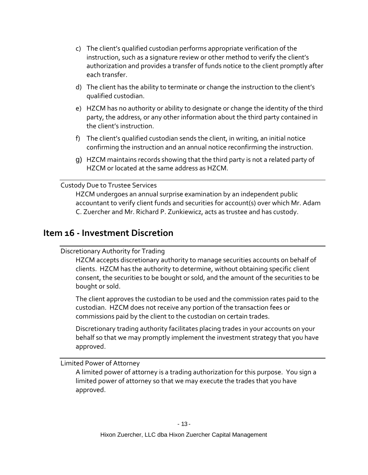- c) The client's qualified custodian performs appropriate verification of the instruction, such as a signature review or other method to verify the client's authorization and provides a transfer of funds notice to the client promptly after each transfer.
- d) The client has the ability to terminate or change the instruction to the client's qualified custodian.
- e) HZCM has no authority or ability to designate or change the identity of the third party, the address, or any other information about the third party contained in the client's instruction.
- f) The client's qualified custodian sends the client, in writing, an initial notice confirming the instruction and an annual notice reconfirming the instruction.
- g) HZCM maintains records showing that the third party is not a related party of HZCM or located at the same address as HZCM.

#### <span id="page-17-0"></span>Custody Due to Trustee Services

HZCM undergoes an annual surprise examination by an independent public accountant to verify client funds and securities for account(s) over which Mr. Adam C. Zuercher and Mr. Richard P. Zunkiewicz, acts as trustee and has custody.

### <span id="page-17-2"></span><span id="page-17-1"></span>**Item 16 - Investment Discretion**

#### Discretionary Authority for Trading

HZCM accepts discretionary authority to manage securities accounts on behalf of clients. HZCM has the authority to determine, without obtaining specific client consent, the securities to be bought or sold, and the amount of the securities to be bought or sold.

The client approves the custodian to be used and the commission rates paid to the custodian. HZCM does not receive any portion of the transaction fees or commissions paid by the client to the custodian on certain trades.

Discretionary trading authority facilitates placing trades in your accounts on your behalf so that we may promptly implement the investment strategy that you have approved.

<span id="page-17-3"></span>Limited Power of Attorney

A limited power of attorney is a trading authorization for this purpose. You sign a limited power of attorney so that we may execute the trades that you have approved.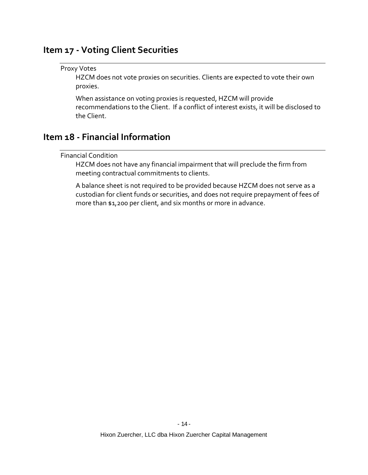### <span id="page-18-1"></span><span id="page-18-0"></span>**Item 17 - Voting Client Securities**

#### Proxy Votes

HZCM does not vote proxies on securities. Clients are expected to vote their own proxies.

When assistance on voting proxies is requested, HZCM will provide recommendations to the Client. If a conflict of interest exists, it will be disclosed to the Client.

# <span id="page-18-3"></span><span id="page-18-2"></span>**Item 18 - Financial Information**

#### Financial Condition

HZCM does not have any financial impairment that will preclude the firm from meeting contractual commitments to clients.

A balance sheet is not required to be provided because HZCM does not serve as a custodian for client funds or securities, and does not require prepayment of fees of more than \$1,200 per client, and six months or more in advance.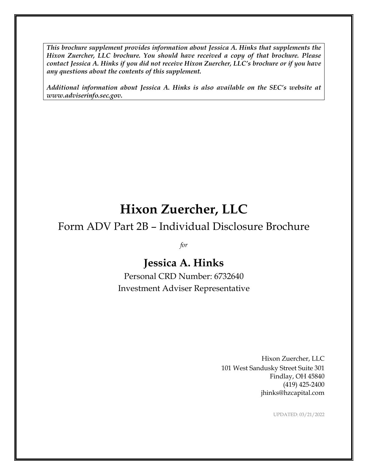*This brochure supplement provides information about Jessica A. Hinks that supplements the Hixon Zuercher, LLC brochure. You should have received a copy of that brochure. Please contact Jessica A. Hinks if you did not receive Hixon Zuercher, LLC's brochure or if you have any questions about the contents of this supplement.*

*Additional information about Jessica A. Hinks is also available on the SEC's website at www.adviserinfo.sec.gov.*

# **Hixon Zuercher, LLC**

# Form ADV Part 2B – Individual Disclosure Brochure

*for*

# **Jessica A. Hinks**

Personal CRD Number: 6732640 Investment Adviser Representative

> Hixon Zuercher, LLC 101 West Sandusky Street Suite 301 Findlay, OH 45840 (419) 425-2400 jhinks@hzcapital.com

> > UPDATED: 03/21/2022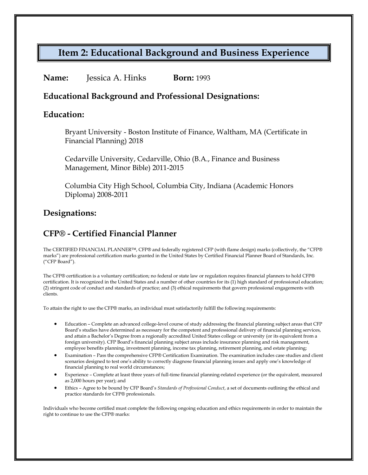# **Item 2: Educational Background and Business Experience**

#### **Name:** Jessica A. Hinks **Born:** 1993

### **Educational Background and Professional Designations:**

#### **Education:**

Bryant University - Boston Institute of Finance, Waltham, MA (Certificate in Financial Planning) 2018

Cedarville University, Cedarville, Ohio (B.A., Finance and Business Management, Minor Bible) 2011-2015

Columbia City High School, Columbia City, Indiana (Academic Honors Diploma) 2008-2011

### **Designations:**

### **CFP® - Certified Financial Planner**

The CERTIFIED FINANCIAL PLANNER™, CFP® and federally registered CFP (with flame design) marks (collectively, the "CFP® marks") are professional certification marks granted in the United States by Certified Financial Planner Board of Standards, Inc. ("CFP Board").

The CFP® certification is a voluntary certification; no federal or state law or regulation requires financial planners to hold CFP® certification. It is recognized in the United States and a number of other countries for its (1) high standard of professional education; (2) stringent code of conduct and standards of practice; and (3) ethical requirements that govern professional engagements with clients.

To attain the right to use the CFP® marks, an individual must satisfactorily fulfill the following requirements:

- Education Complete an advanced college-level course of study addressing the financial planning subject areas that CFP Board's studies have determined as necessary for the competent and professional delivery of financial planning services, and attain a Bachelor's Degree from a regionally accredited United States college or university (or its equivalent from a foreign university). CFP Board's financial planning subject areas include insurance planning and risk management, employee benefits planning, investment planning, income tax planning, retirement planning, and estate planning;
- Examination Pass the comprehensive CFP® Certification Examination. The examination includes case studies and client scenarios designed to test one's ability to correctly diagnose financial planning issues and apply one's knowledge of financial planning to real world circumstances;
- Experience Complete at least three years of full-time financial planning-related experience (or the equivalent, measured as 2,000 hours per year); and
- Ethics Agree to be bound by CFP Board's *Standards of Professional Conduct*, a set of documents outlining the ethical and practice standards for CFP® professionals.

Individuals who become certified must complete the following ongoing education and ethics requirements in order to maintain the right to continue to use the CFP® marks: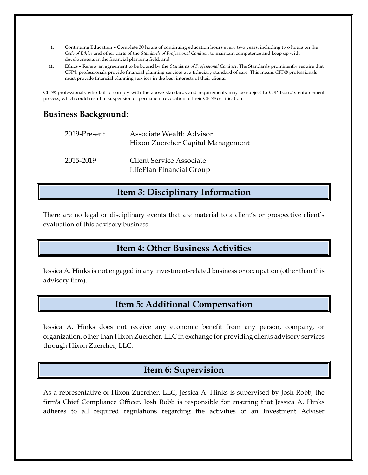- i. Continuing Education Complete 30 hours of continuing education hours every two years, including two hours on the *Code of Ethics* and other parts of the *Standards of Professional Conduct*, to maintain competence and keep up with developments in the financial planning field; and
- ii. Ethics Renew an agreement to be bound by the *Standards of Professional Conduct*. The Standards prominently require that CFP® professionals provide financial planning services at a fiduciary standard of care. This means CFP® professionals must provide financial planning services in the best interests of their clients.

CFP® professionals who fail to comply with the above standards and requirements may be subject to CFP Board's enforcement process, which could result in suspension or permanent revocation of their CFP® certification.

### **Business Background:**

| 2019-Present | Associate Wealth Advisor<br>Hixon Zuercher Capital Management |
|--------------|---------------------------------------------------------------|
| 2015-2019    | <b>Client Service Associate</b><br>LifePlan Financial Group   |

### **Item 3: Disciplinary Information**

There are no legal or disciplinary events that are material to a client's or prospective client's evaluation of this advisory business.

### **Item 4: Other Business Activities**

Jessica A. Hinks is not engaged in any investment-related business or occupation (other than this advisory firm).

### **Item 5: Additional Compensation**

Jessica A. Hinks does not receive any economic benefit from any person, company, or organization, other than Hixon Zuercher, LLC in exchange for providing clients advisory services through Hixon Zuercher, LLC.

### **Item 6: Supervision**

As a representative of Hixon Zuercher, LLC, Jessica A. Hinks is supervised by Josh Robb, the firm's Chief Compliance Officer. Josh Robb is responsible for ensuring that Jessica A. Hinks adheres to all required regulations regarding the activities of an Investment Adviser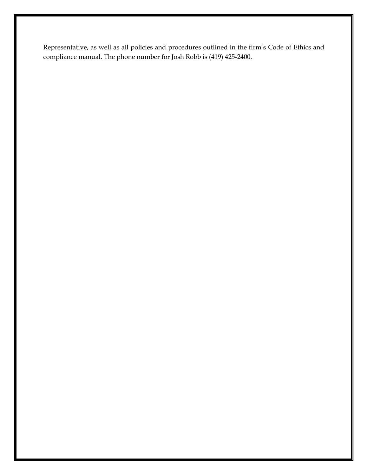Representative, as well as all policies and procedures outlined in the firm's Code of Ethics and compliance manual. The phone number for Josh Robb is (419) 425-2400.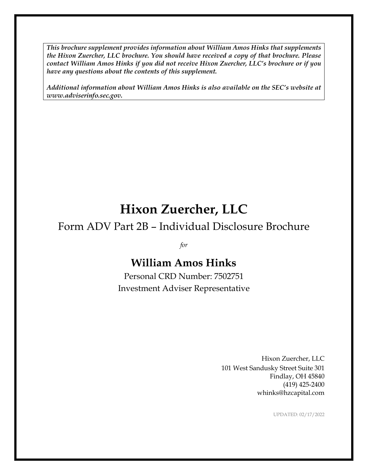*This brochure supplement provides information about William Amos Hinks that supplements the Hixon Zuercher, LLC brochure. You should have received a copy of that brochure. Please contact William Amos Hinks if you did not receive Hixon Zuercher, LLC's brochure or if you have any questions about the contents of this supplement.*

*Additional information about William Amos Hinks is also available on the SEC's website at www.adviserinfo.sec.gov.*

# **Hixon Zuercher, LLC**

# Form ADV Part 2B – Individual Disclosure Brochure

*for*

# **William Amos Hinks**

Personal CRD Number: 7502751 Investment Adviser Representative

> Hixon Zuercher, LLC 101 West Sandusky Street Suite 301 Findlay, OH 45840 (419) 425-2400 whinks@hzcapital.com

> > UPDATED: 02/17/2022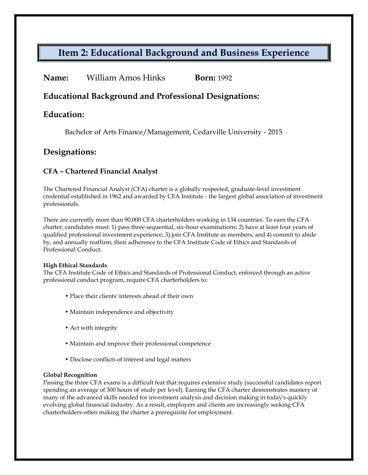# **Item 2: Educational Background and Business Experience**

| William Amos Hinks | <b>Born:</b> 1992 |
|--------------------|-------------------|
|                    |                   |

### **Educational Background and Professional Designations:**

### **Education:**

Bachelor of Arts Finance/Management, Cedarville University - 2015

### **Designations:**

#### **CFA – Chartered Financial Analyst**

The Chartered Financial Analyst (CFA) charter is a globally respected, graduate-level investment credential established in 1962 and awarded by CFA Institute - the largest global association of investment professionals.

There are currently more than 90,000 CFA charterholders working in 134 countries. To earn the CFA charter, candidates must: 1) pass three sequential, six-hour examinations; 2) have at least four years of qualified professional investment experience; 3) join CFA Institute as members; and 4) commit to abide by, and annually reaffirm, their adherence to the CFA Institute Code of Ethics and Standards of Professional Conduct.

#### **High Ethical Standards**

The CFA Institute Code of Ethics and Standards of Professional Conduct, enforced through an active professional conduct program, require CFA charterholders to:

- Place their clients' interests ahead of their own
- Maintain independence and objectivity
- Act with integrity
- Maintain and improve their professional competence
- Disclose conflicts of interest and legal matters

#### **Global Recognition**

Passing the three CFA exams is a difficult feat that requires extensive study (successful candidates report spending an average of 300 hours of study per level). Earning the CFA charter demonstrates mastery of many of the advanced skills needed for investment analysis and decision making in today's quickly evolving global financial industry. As a result, employers and clients are increasingly seeking CFA charterholders-often making the charter a prerequisite for employment.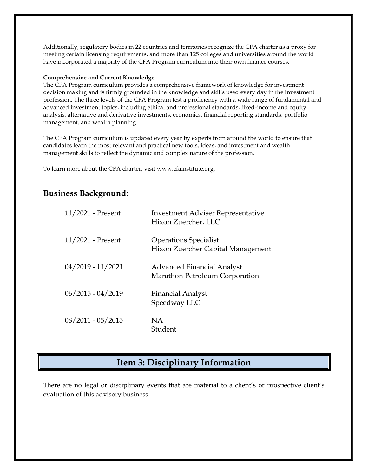Additionally, regulatory bodies in 22 countries and territories recognize the CFA charter as a proxy for meeting certain licensing requirements, and more than 125 colleges and universities around the world have incorporated a majority of the CFA Program curriculum into their own finance courses.

#### **Comprehensive and Current Knowledge**

The CFA Program curriculum provides a comprehensive framework of knowledge for investment decision making and is firmly grounded in the knowledge and skills used every day in the investment profession. The three levels of the CFA Program test a proficiency with a wide range of fundamental and advanced investment topics, including ethical and professional standards, fixed-income and equity analysis, alternative and derivative investments, economics, financial reporting standards, portfolio management, and wealth planning.

The CFA Program curriculum is updated every year by experts from around the world to ensure that candidates learn the most relevant and practical new tools, ideas, and investment and wealth management skills to reflect the dynamic and complex nature of the profession.

To learn more about the CFA charter, visit www.cfainstitute.org.

### **Business Background:**

| 11/2021 - Present   | <b>Investment Adviser Representative</b><br>Hixon Zuercher, LLC     |
|---------------------|---------------------------------------------------------------------|
| $11/2021$ - Present | <b>Operations Specialist</b><br>Hixon Zuercher Capital Management   |
| $04/2019 - 11/2021$ | <b>Advanced Financial Analyst</b><br>Marathon Petroleum Corporation |
| $06/2015 - 04/2019$ | <b>Financial Analyst</b><br>Speedway LLC                            |
| $08/2011 - 05/2015$ | NA.<br>Student                                                      |

## **Item 3: Disciplinary Information**

There are no legal or disciplinary events that are material to a client's or prospective client's evaluation of this advisory business.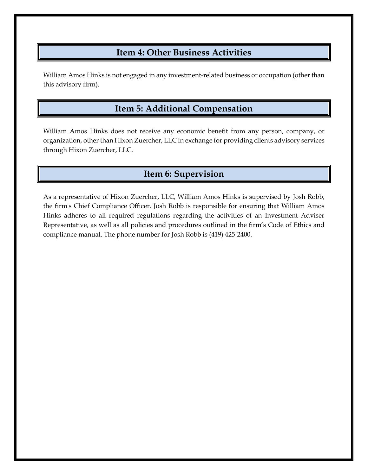# **Item 4: Other Business Activities**

William Amos Hinks is not engaged in any investment-related business or occupation (other than this advisory firm).

# **Item 5: Additional Compensation**

William Amos Hinks does not receive any economic benefit from any person, company, or organization, other than Hixon Zuercher, LLC in exchange for providing clients advisory services through Hixon Zuercher, LLC.

# **Item 6: Supervision**

As a representative of Hixon Zuercher, LLC, William Amos Hinks is supervised by Josh Robb, the firm's Chief Compliance Officer. Josh Robb is responsible for ensuring that William Amos Hinks adheres to all required regulations regarding the activities of an Investment Adviser Representative, as well as all policies and procedures outlined in the firm's Code of Ethics and compliance manual. The phone number for Josh Robb is (419) 425-2400.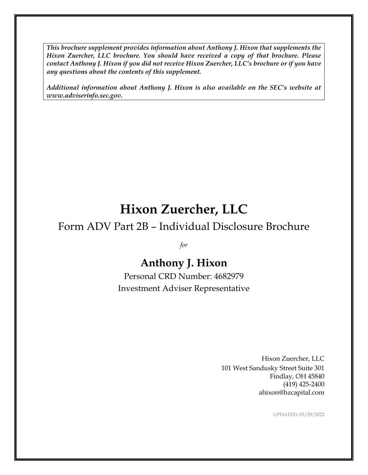*This brochure supplement provides information about Anthony J. Hixon that supplements the Hixon Zuercher, LLC brochure. You should have received a copy of that brochure. Please contact Anthony J. Hixon if you did not receive Hixon Zuercher, LLC's brochure or if you have any questions about the contents of this supplement.*

*Additional information about Anthony J. Hixon is also available on the SEC's website at www.adviserinfo.sec.gov.*

# **Hixon Zuercher, LLC**

# Form ADV Part 2B – Individual Disclosure Brochure

*for*

# **Anthony J. Hixon**

Personal CRD Number: 4682979 Investment Adviser Representative

> Hixon Zuercher, LLC 101 West Sandusky Street Suite 301 Findlay, OH 45840 (419) 425-2400 ahixon@hzcapital.com

> > UPDATED: 03/29/2022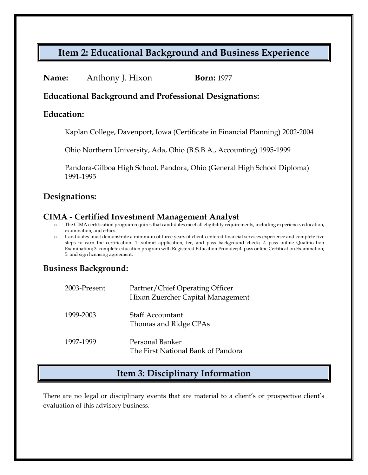# **Item 2: Educational Background and Business Experience**

| <b>Born:</b> 1977 |
|-------------------|
|                   |

### **Educational Background and Professional Designations:**

#### **Education:**

Kaplan College, Davenport, Iowa (Certificate in Financial Planning) 2002-2004

Ohio Northern University, Ada, Ohio (B.S.B.A., Accounting) 1995-1999

Pandora-Gilboa High School, Pandora, Ohio (General High School Diploma) 1991-1995

### **Designations:**

### **CIMA - Certified Investment Management Analyst**

- The CIMA certification program requires that candidates meet all eligibility requirements, including experience, education, examination, and ethics.
- o Candidates must demonstrate a minimum of three years of client-centered financial services experience and complete five steps to earn the certification: 1. submit application, fee, and pass background check; 2. pass online Qualification Examination; 3. complete education program with Registered Education Provider; 4. pass online Certification Examination; 5. and sign licensing agreement.

### **Business Background:**

| 2003-Present | Partner/Chief Operating Officer<br>Hixon Zuercher Capital Management |
|--------------|----------------------------------------------------------------------|
| 1999-2003    | <b>Staff Accountant</b><br>Thomas and Ridge CPAs                     |
| 1997-1999    | Personal Banker<br>The First National Bank of Pandora                |

### **Item 3: Disciplinary Information**

There are no legal or disciplinary events that are material to a client's or prospective client's evaluation of this advisory business.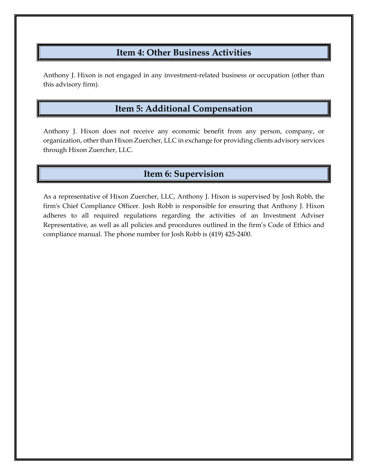## **Item 4: Other Business Activities**

Anthony J. Hixon is not engaged in any investment-related business or occupation (other than this advisory firm).

# **Item 5: Additional Compensation**

Anthony J. Hixon does not receive any economic benefit from any person, company, or organization, other than Hixon Zuercher, LLC in exchange for providing clients advisory services through Hixon Zuercher, LLC.

# **Item 6: Supervision**

As a representative of Hixon Zuercher, LLC, Anthony J. Hixon is supervised by Josh Robb, the firm's Chief Compliance Officer. Josh Robb is responsible for ensuring that Anthony J. Hixon adheres to all required regulations regarding the activities of an Investment Adviser Representative, as well as all policies and procedures outlined in the firm's Code of Ethics and compliance manual. The phone number for Josh Robb is (419) 425-2400.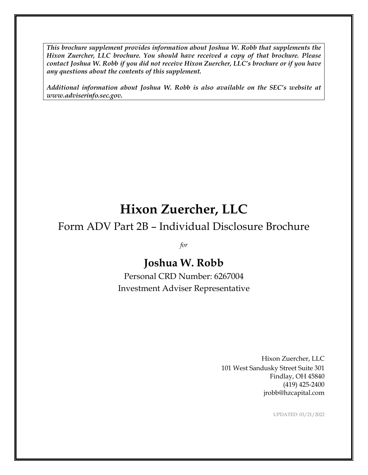*This brochure supplement provides information about Joshua W. Robb that supplements the Hixon Zuercher, LLC brochure. You should have received a copy of that brochure. Please contact Joshua W. Robb if you did not receive Hixon Zuercher, LLC's brochure or if you have any questions about the contents of this supplement.*

*Additional information about Joshua W. Robb is also available on the SEC's website at www.adviserinfo.sec.gov.*

# **Hixon Zuercher, LLC**

# Form ADV Part 2B – Individual Disclosure Brochure

*for*

# **Joshua W. Robb**

Personal CRD Number: 6267004 Investment Adviser Representative

> Hixon Zuercher, LLC 101 West Sandusky Street Suite 301 Findlay, OH 45840 (419) 425-2400 jrobb@hzcapital.com

> > UPDATED: 03/21/2022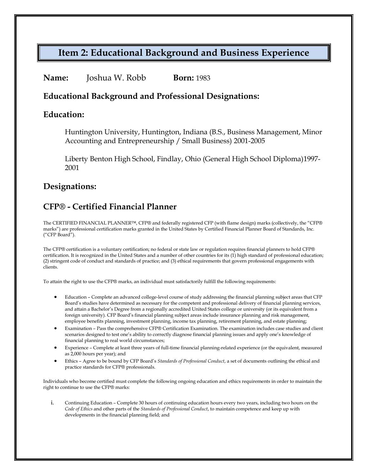# **Item 2: Educational Background and Business Experience**

#### **Name:** Joshua W. Robb **Born:** 1983

### **Educational Background and Professional Designations:**

#### **Education:**

Huntington University, Huntington, Indiana (B.S., Business Management, Minor Accounting and Entrepreneurship / Small Business) 2001-2005

Liberty Benton High School, Findlay, Ohio (General High School Diploma)1997- 2001

### **Designations:**

## **CFP® - Certified Financial Planner**

The CERTIFIED FINANCIAL PLANNER™, CFP® and federally registered CFP (with flame design) marks (collectively, the "CFP® marks") are professional certification marks granted in the United States by Certified Financial Planner Board of Standards, Inc. ("CFP Board").

The CFP® certification is a voluntary certification; no federal or state law or regulation requires financial planners to hold CFP® certification. It is recognized in the United States and a number of other countries for its (1) high standard of professional education; (2) stringent code of conduct and standards of practice; and (3) ethical requirements that govern professional engagements with clients.

To attain the right to use the CFP® marks, an individual must satisfactorily fulfill the following requirements:

- Education Complete an advanced college-level course of study addressing the financial planning subject areas that CFP Board's studies have determined as necessary for the competent and professional delivery of financial planning services, and attain a Bachelor's Degree from a regionally accredited United States college or university (or its equivalent from a foreign university). CFP Board's financial planning subject areas include insurance planning and risk management, employee benefits planning, investment planning, income tax planning, retirement planning, and estate planning;
- Examination Pass the comprehensive CFP® Certification Examination. The examination includes case studies and client scenarios designed to test one's ability to correctly diagnose financial planning issues and apply one's knowledge of financial planning to real world circumstances;
- Experience Complete at least three years of full-time financial planning-related experience (or the equivalent, measured as 2,000 hours per year); and
- Ethics Agree to be bound by CFP Board's *Standards of Professional Conduct*, a set of documents outlining the ethical and practice standards for CFP® professionals.

Individuals who become certified must complete the following ongoing education and ethics requirements in order to maintain the right to continue to use the CFP® marks:

i. Continuing Education – Complete 30 hours of continuing education hours every two years, including two hours on the *Code of Ethics* and other parts of the *Standards of Professional Conduct*, to maintain competence and keep up with developments in the financial planning field; and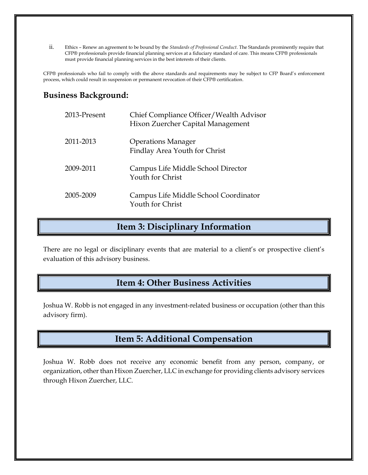ii. Ethics – Renew an agreement to be bound by the *Standards of Professional Conduct*. The Standards prominently require that CFP® professionals provide financial planning services at a fiduciary standard of care. This means CFP® professionals must provide financial planning services in the best interests of their clients.

CFP® professionals who fail to comply with the above standards and requirements may be subject to CFP Board's enforcement process, which could result in suspension or permanent revocation of their CFP® certification.

### **Business Background:**

| 2013-Present | Chief Compliance Officer/Wealth Advisor<br>Hixon Zuercher Capital Management |
|--------------|------------------------------------------------------------------------------|
| 2011-2013    | <b>Operations Manager</b><br>Findlay Area Youth for Christ                   |
| 2009-2011    | Campus Life Middle School Director<br>Youth for Christ                       |
| 2005-2009    | Campus Life Middle School Coordinator<br>Youth for Christ                    |

### **Item 3: Disciplinary Information**

There are no legal or disciplinary events that are material to a client's or prospective client's evaluation of this advisory business.

## **Item 4: Other Business Activities**

Joshua W. Robb is not engaged in any investment-related business or occupation (other than this advisory firm).

### **Item 5: Additional Compensation**

Joshua W. Robb does not receive any economic benefit from any person, company, or organization, other than Hixon Zuercher, LLC in exchange for providing clients advisory services through Hixon Zuercher, LLC.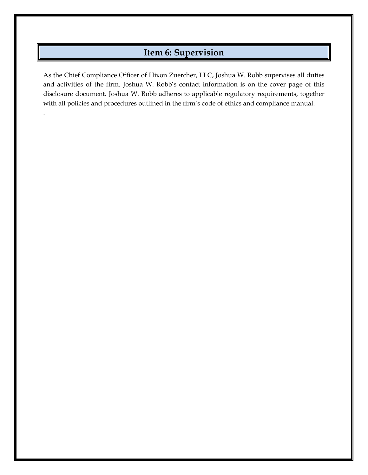# **Item 6: Supervision**

As the Chief Compliance Officer of Hixon Zuercher, LLC, Joshua W. Robb supervises all duties and activities of the firm. Joshua W. Robb's contact information is on the cover page of this disclosure document. Joshua W. Robb adheres to applicable regulatory requirements, together with all policies and procedures outlined in the firm's code of ethics and compliance manual.

.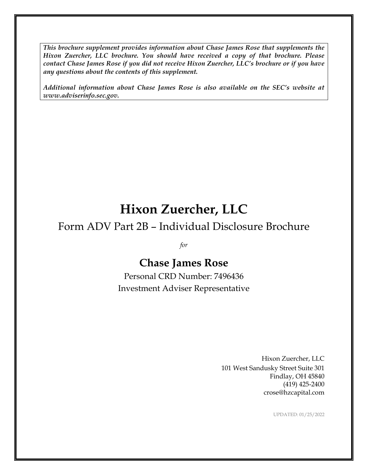*This brochure supplement provides information about Chase James Rose that supplements the Hixon Zuercher, LLC brochure. You should have received a copy of that brochure. Please contact Chase James Rose if you did not receive Hixon Zuercher, LLC's brochure or if you have any questions about the contents of this supplement.*

*Additional information about Chase James Rose is also available on the SEC's website at www.adviserinfo.sec.gov.*

# **Hixon Zuercher, LLC**

# Form ADV Part 2B – Individual Disclosure Brochure

*for*

# **Chase James Rose**

Personal CRD Number: 7496436 Investment Adviser Representative

> Hixon Zuercher, LLC 101 West Sandusky Street Suite 301 Findlay, OH 45840 (419) 425-2400 crose@hzcapital.com

> > UPDATED: 01/25/2022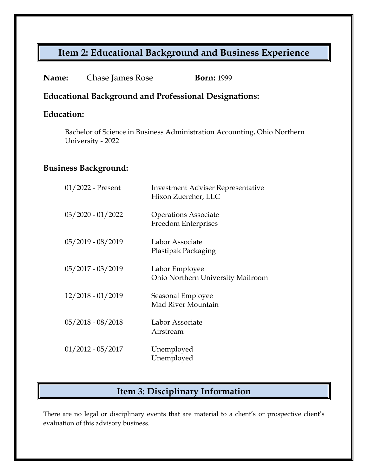# **Item 2: Educational Background and Business Experience**

| Name:<br>Chase James Rose | <b>Born:</b> 1999 |
|---------------------------|-------------------|
|---------------------------|-------------------|

### **Educational Background and Professional Designations:**

## **Education:**

Bachelor of Science in Business Administration Accounting, Ohio Northern University - 2022

### **Business Background:**

| 01/2022 - Present   | <b>Investment Adviser Representative</b><br>Hixon Zuercher, LLC |
|---------------------|-----------------------------------------------------------------|
| $03/2020 - 01/2022$ | <b>Operations Associate</b><br>Freedom Enterprises              |
| 05/2019 - 08/2019   | Labor Associate<br>Plastipak Packaging                          |
| 05/2017 - 03/2019   | Labor Employee<br>Ohio Northern University Mailroom             |
| 12/2018 - 01/2019   | Seasonal Employee<br>Mad River Mountain                         |
| $05/2018 - 08/2018$ | Labor Associate<br>Airstream                                    |
| $01/2012 - 05/2017$ | Unemployed<br>Unemployed                                        |

# **Item 3: Disciplinary Information**

There are no legal or disciplinary events that are material to a client's or prospective client's evaluation of this advisory business.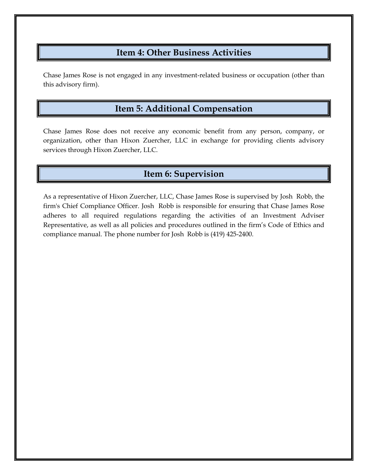## **Item 4: Other Business Activities**

Chase James Rose is not engaged in any investment-related business or occupation (other than this advisory firm).

# **Item 5: Additional Compensation**

Chase James Rose does not receive any economic benefit from any person, company, or organization, other than Hixon Zuercher, LLC in exchange for providing clients advisory services through Hixon Zuercher, LLC.

## **Item 6: Supervision**

As a representative of Hixon Zuercher, LLC, Chase James Rose is supervised by Josh Robb, the firm's Chief Compliance Officer. Josh Robb is responsible for ensuring that Chase James Rose adheres to all required regulations regarding the activities of an Investment Adviser Representative, as well as all policies and procedures outlined in the firm's Code of Ethics and compliance manual. The phone number for Josh Robb is (419) 425-2400.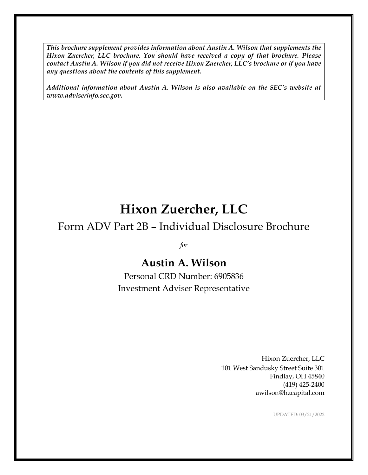*This brochure supplement provides information about Austin A. Wilson that supplements the Hixon Zuercher, LLC brochure. You should have received a copy of that brochure. Please contact Austin A. Wilson if you did not receive Hixon Zuercher, LLC's brochure or if you have any questions about the contents of this supplement.*

*Additional information about Austin A. Wilson is also available on the SEC's website at www.adviserinfo.sec.gov.*

# **Hixon Zuercher, LLC**

# Form ADV Part 2B – Individual Disclosure Brochure

*for*

# **Austin A. Wilson**

Personal CRD Number: 6905836 Investment Adviser Representative

> Hixon Zuercher, LLC 101 West Sandusky Street Suite 301 Findlay, OH 45840 (419) 425-2400 awilson@hzcapital.com

> > UPDATED: 03/21/2022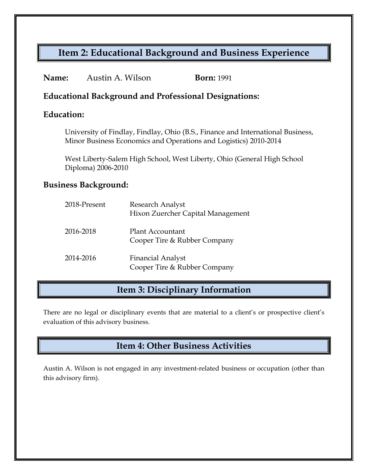# **Item 2: Educational Background and Business Experience**

| Name:<br>Austin A. Wilson |  | <b>Born:</b> 1991 |
|---------------------------|--|-------------------|
|---------------------------|--|-------------------|

### **Educational Background and Professional Designations:**

### **Education:**

University of Findlay, Findlay, Ohio (B.S., Finance and International Business, Minor Business Economics and Operations and Logistics) 2010-2014

West Liberty-Salem High School, West Liberty, Ohio (General High School Diploma) 2006-2010

#### **Business Background:**

| 2018-Present | Research Analyst<br>Hixon Zuercher Capital Management    |
|--------------|----------------------------------------------------------|
| 2016-2018    | <b>Plant Accountant</b><br>Cooper Tire & Rubber Company  |
| 2014-2016    | <b>Financial Analyst</b><br>Cooper Tire & Rubber Company |

## **Item 3: Disciplinary Information**

There are no legal or disciplinary events that are material to a client's or prospective client's evaluation of this advisory business.

# **Item 4: Other Business Activities**

Austin A. Wilson is not engaged in any investment-related business or occupation (other than this advisory firm).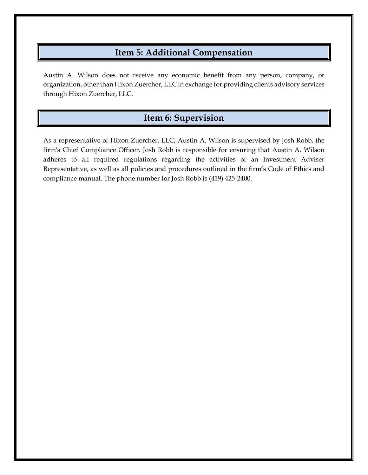## **Item 5: Additional Compensation**

Austin A. Wilson does not receive any economic benefit from any person, company, or organization, other than Hixon Zuercher, LLC in exchange for providing clients advisory services through Hixon Zuercher, LLC.

# **Item 6: Supervision**

As a representative of Hixon Zuercher, LLC, Austin A. Wilson is supervised by Josh Robb, the firm's Chief Compliance Officer. Josh Robb is responsible for ensuring that Austin A. Wilson adheres to all required regulations regarding the activities of an Investment Adviser Representative, as well as all policies and procedures outlined in the firm's Code of Ethics and compliance manual. The phone number for Josh Robb is (419) 425-2400.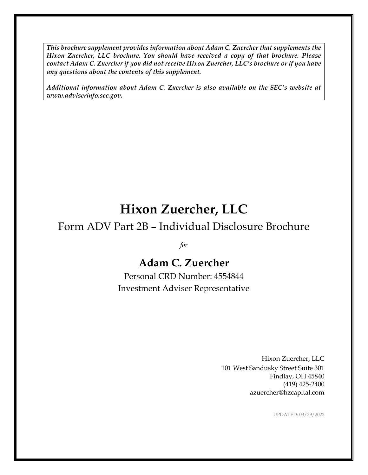*This brochure supplement provides information about Adam C. Zuercher that supplements the Hixon Zuercher, LLC brochure. You should have received a copy of that brochure. Please contact Adam C. Zuercher if you did not receive Hixon Zuercher, LLC's brochure or if you have any questions about the contents of this supplement.*

*Additional information about Adam C. Zuercher is also available on the SEC's website at www.adviserinfo.sec.gov.*

# **Hixon Zuercher, LLC**

# Form ADV Part 2B – Individual Disclosure Brochure

*for*

# **Adam C. Zuercher**

Personal CRD Number: 4554844 Investment Adviser Representative

> Hixon Zuercher, LLC 101 West Sandusky Street Suite 301 Findlay, OH 45840 (419) 425-2400 azuercher@hzcapital.com

> > UPDATED: 03/29/2022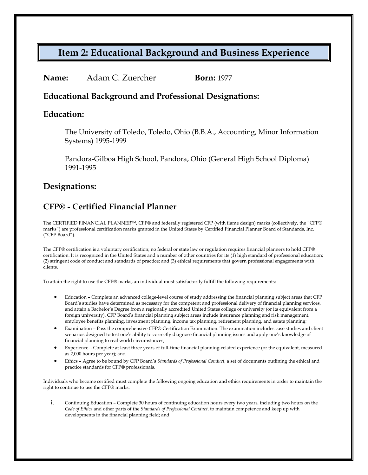# **Item 2: Educational Background and Business Experience**

| Name:<br>Adam C. Zuercher | <b>Born:</b> 1977 |
|---------------------------|-------------------|
|---------------------------|-------------------|

#### **Educational Background and Professional Designations:**

#### **Education:**

The University of Toledo, Toledo, Ohio (B.B.A., Accounting, Minor Information Systems) 1995-1999

Pandora-Gilboa High School, Pandora, Ohio (General High School Diploma) 1991-1995

### **Designations:**

## **CFP® - Certified Financial Planner**

The CERTIFIED FINANCIAL PLANNER™, CFP® and federally registered CFP (with flame design) marks (collectively, the "CFP® marks") are professional certification marks granted in the United States by Certified Financial Planner Board of Standards, Inc. ("CFP Board").

The CFP® certification is a voluntary certification; no federal or state law or regulation requires financial planners to hold CFP® certification. It is recognized in the United States and a number of other countries for its (1) high standard of professional education; (2) stringent code of conduct and standards of practice; and (3) ethical requirements that govern professional engagements with clients.

To attain the right to use the CFP® marks, an individual must satisfactorily fulfill the following requirements:

- Education Complete an advanced college-level course of study addressing the financial planning subject areas that CFP Board's studies have determined as necessary for the competent and professional delivery of financial planning services, and attain a Bachelor's Degree from a regionally accredited United States college or university (or its equivalent from a foreign university). CFP Board's financial planning subject areas include insurance planning and risk management, employee benefits planning, investment planning, income tax planning, retirement planning, and estate planning;
- Examination Pass the comprehensive CFP® Certification Examination. The examination includes case studies and client scenarios designed to test one's ability to correctly diagnose financial planning issues and apply one's knowledge of financial planning to real world circumstances;
- Experience Complete at least three years of full-time financial planning-related experience (or the equivalent, measured as 2,000 hours per year); and
- Ethics Agree to be bound by CFP Board's *Standards of Professional Conduct*, a set of documents outlining the ethical and practice standards for CFP® professionals.

Individuals who become certified must complete the following ongoing education and ethics requirements in order to maintain the right to continue to use the CFP® marks:

i. Continuing Education – Complete 30 hours of continuing education hours every two years, including two hours on the *Code of Ethics* and other parts of the *Standards of Professional Conduct*, to maintain competence and keep up with developments in the financial planning field; and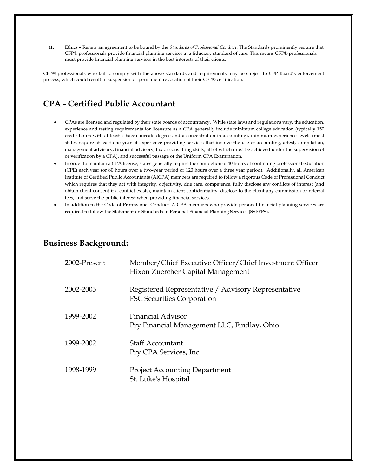ii. Ethics – Renew an agreement to be bound by the *Standards of Professional Conduct*. The Standards prominently require that CFP® professionals provide financial planning services at a fiduciary standard of care. This means CFP® professionals must provide financial planning services in the best interests of their clients.

CFP® professionals who fail to comply with the above standards and requirements may be subject to CFP Board's enforcement process, which could result in suspension or permanent revocation of their CFP® certification.

### **CPA - Certified Public Accountant**

- CPAs are licensed and regulated by their state boards of accountancy. While state laws and regulations vary, the education, experience and testing requirements for licensure as a CPA generally include minimum college education (typically 150 credit hours with at least a baccalaureate degree and a concentration in accounting), minimum experience levels (most states require at least one year of experience providing services that involve the use of accounting, attest, compilation, management advisory, financial advisory, tax or consulting skills, all of which must be achieved under the supervision of or verification by a CPA), and successful passage of the Uniform CPA Examination.
- In order to maintain a CPA license, states generally require the completion of 40 hours of continuing professional education (CPE) each year (or 80 hours over a two-year period or 120 hours over a three year period). Additionally, all American Institute of Certified Public Accountants (AICPA) members are required to follow a rigorous Code of Professional Conduct which requires that they act with integrity, objectivity, due care, competence, fully disclose any conflicts of interest (and obtain client consent if a conflict exists), maintain client confidentiality, disclose to the client any commission or referral fees, and serve the public interest when providing financial services.
- In addition to the Code of Professional Conduct, AICPA members who provide personal financial planning services are required to follow the Statement on Standards in Personal Financial Planning Services (SSPFPS).

### **Business Background:**

| 2002-Present | Member/Chief Executive Officer/Chief Investment Officer<br>Hixon Zuercher Capital Management |
|--------------|----------------------------------------------------------------------------------------------|
| 2002-2003    | Registered Representative / Advisory Representative<br>FSC Securities Corporation            |
| 1999-2002    | <b>Financial Advisor</b><br>Pry Financial Management LLC, Findlay, Ohio                      |
| 1999-2002    | <b>Staff Accountant</b><br>Pry CPA Services, Inc.                                            |
| 1998-1999    | <b>Project Accounting Department</b><br>St. Luke's Hospital                                  |